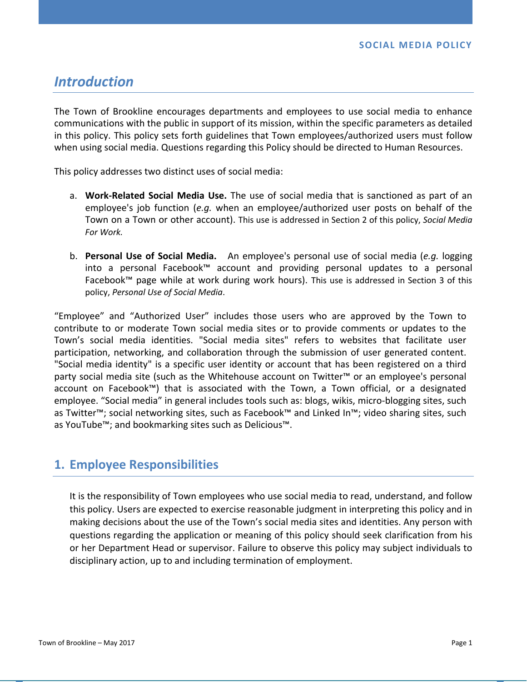# *Introduction*

The Town of Brookline encourages departments and employees to use social media to enhance communications with the public in support of its mission, within the specific parameters as detailed in this policy. This policy sets forth guidelines that Town employees/authorized users must follow when using social media. Questions regarding this Policy should be directed to Human Resources.

This policy addresses two distinct uses of social media:

- a. **Work‐Related Social Media Use.**  The use of social media that is sanctioned as part of an employee's job function (*e.g.* when an employee/authorized user posts on behalf of the Town on a Town or other account). This use is addressed in Section 2 of this policy, *Social Media For Work.*
- b. **Personal Use of Social Media.**  An employee's personal use of social media (*e.g.* logging into a personal Facebook™ account and providing personal updates to a personal Facebook™ page while at work during work hours). This use is addressed in Section 3 of this policy, *Personal Use of Social Media*.

"Employee" and "Authorized User" includes those users who are approved by the Town to contribute to or moderate Town social media sites or to provide comments or updates to the Town's social media identities. "Social media sites" refers to websites that facilitate user participation, networking, and collaboration through the submission of user generated content. "Social media identity" is a specific user identity or account that has been registered on a third party social media site (such as the Whitehouse account on Twitter™ or an employee's personal account on Facebook™) that is associated with the Town, a Town official, or a designated employee. "Social media" in general includes tools such as: blogs, wikis, micro‐blogging sites, such as Twitter™; social networking sites, such as Facebook™ and Linked In™; video sharing sites, such as YouTube™; and bookmarking sites such as Delicious™.

## **1. Employee Responsibilities**

It is the responsibility of Town employees who use social media to read, understand, and follow this policy. Users are expected to exercise reasonable judgment in interpreting this policy and in making decisions about the use of the Town's social media sites and identities. Any person with questions regarding the application or meaning of this policy should seek clarification from his or her Department Head or supervisor. Failure to observe this policy may subject individuals to disciplinary action, up to and including termination of employment.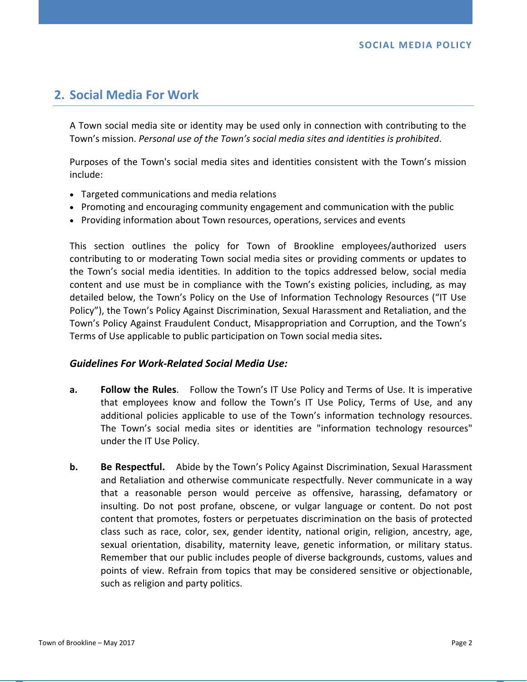# **2. Social Media For Work**

A Town social media site or identity may be used only in connection with contributing to the Town's mission. *Personal use of the Town's social media sites and identities is prohibited*.

Purposes of the Town's social media sites and identities consistent with the Town's mission include:

- Targeted communications and media relations
- Promoting and encouraging community engagement and communication with the public
- Providing information about Town resources, operations, services and events

This section outlines the policy for Town of Brookline employees/authorized users contributing to or moderating Town social media sites or providing comments or updates to the Town's social media identities. In addition to the topics addressed below, social media content and use must be in compliance with the Town's existing policies, including, as may detailed below, the Town's Policy on the Use of Information Technology Resources ("IT Use Policy"), the Town's Policy Against Discrimination, Sexual Harassment and Retaliation, and the Town's Policy Against Fraudulent Conduct, Misappropriation and Corruption, and the Town's Terms of Use applicable to public participation on Town social media sites**.** 

### *Guidelines For Work‐Related Social Media Use:*

- **a. Follow the Rules**. Follow the Town's IT Use Policy and Terms of Use. It is imperative that employees know and follow the Town's IT Use Policy, Terms of Use, and any additional policies applicable to use of the Town's information technology resources. The Town's social media sites or identities are "information technology resources" under the IT Use Policy.
- **b. Be Respectful.** Abide by the Town's Policy Against Discrimination, Sexual Harassment and Retaliation and otherwise communicate respectfully. Never communicate in a way that a reasonable person would perceive as offensive, harassing, defamatory or insulting. Do not post profane, obscene, or vulgar language or content. Do not post content that promotes, fosters or perpetuates discrimination on the basis of protected class such as race, color, sex, gender identity, national origin, religion, ancestry, age, sexual orientation, disability, maternity leave, genetic information, or military status. Remember that our public includes people of diverse backgrounds, customs, values and points of view. Refrain from topics that may be considered sensitive or objectionable, such as religion and party politics.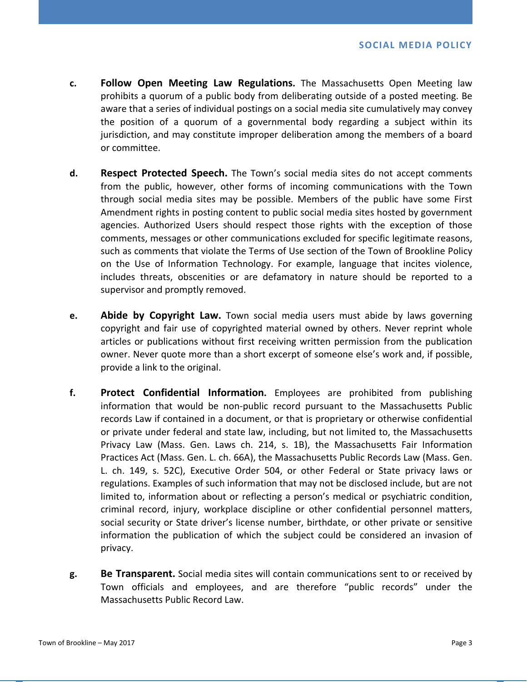- **c. Follow Open Meeting Law Regulations.**  The Massachusetts Open Meeting law prohibits a quorum of a public body from deliberating outside of a posted meeting. Be aware that a series of individual postings on a social media site cumulatively may convey the position of a quorum of a governmental body regarding a subject within its jurisdiction, and may constitute improper deliberation among the members of a board or committee.
- **d. Respect Protected Speech.** The Town's social media sites do not accept comments from the public, however, other forms of incoming communications with the Town through social media sites may be possible. Members of the public have some First Amendment rights in posting content to public social media sites hosted by government agencies. Authorized Users should respect those rights with the exception of those comments, messages or other communications excluded for specific legitimate reasons, such as comments that violate the Terms of Use section of the Town of Brookline Policy on the Use of Information Technology. For example, language that incites violence, includes threats, obscenities or are defamatory in nature should be reported to a supervisor and promptly removed.
- **e. Abide by Copyright Law.** Town social media users must abide by laws governing copyright and fair use of copyrighted material owned by others. Never reprint whole articles or publications without first receiving written permission from the publication owner. Never quote more than a short excerpt of someone else's work and, if possible, provide a link to the original.
- **f. Protect Confidential Information.**  Employees are prohibited from publishing information that would be non‐public record pursuant to the Massachusetts Public records Law if contained in a document, or that is proprietary or otherwise confidential or private under federal and state law, including, but not limited to, the Massachusetts Privacy Law (Mass. Gen. Laws ch. 214, s. 1B), the Massachusetts Fair Information Practices Act (Mass. Gen. L. ch. 66A), the Massachusetts Public Records Law (Mass. Gen. L. ch. 149, s. 52C), Executive Order 504, or other Federal or State privacy laws or regulations. Examples of such information that may not be disclosed include, but are not limited to, information about or reflecting a person's medical or psychiatric condition, criminal record, injury, workplace discipline or other confidential personnel matters, social security or State driver's license number, birthdate, or other private or sensitive information the publication of which the subject could be considered an invasion of privacy.
- **g. Be Transparent.** Social media sites will contain communications sent to or received by Town officials and employees, and are therefore "public records" under the Massachusetts Public Record Law.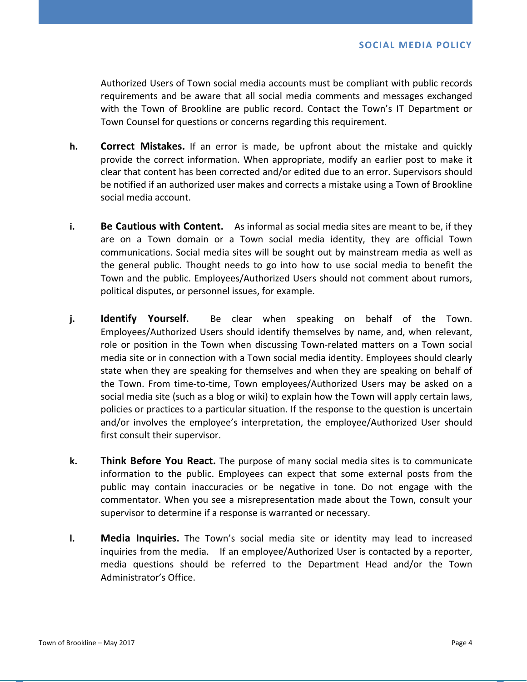Authorized Users of Town social media accounts must be compliant with public records requirements and be aware that all social media comments and messages exchanged with the Town of Brookline are public record. Contact the Town's IT Department or Town Counsel for questions or concerns regarding this requirement.

- **h. Correct Mistakes.** If an error is made, be upfront about the mistake and quickly provide the correct information. When appropriate, modify an earlier post to make it clear that content has been corrected and/or edited due to an error. Supervisors should be notified if an authorized user makes and corrects a mistake using a Town of Brookline social media account.
- **i. Be Cautious with Content.** As informal as social media sites are meant to be, if they are on a Town domain or a Town social media identity, they are official Town communications. Social media sites will be sought out by mainstream media as well as the general public. Thought needs to go into how to use social media to benefit the Town and the public. Employees/Authorized Users should not comment about rumors, political disputes, or personnel issues, for example.
- **j. Identify Yourself.** Be clear when speaking on behalf of the Town. Employees/Authorized Users should identify themselves by name, and, when relevant, role or position in the Town when discussing Town-related matters on a Town social media site or in connection with a Town social media identity. Employees should clearly state when they are speaking for themselves and when they are speaking on behalf of the Town. From time-to-time, Town employees/Authorized Users may be asked on a social media site (such as a blog or wiki) to explain how the Town will apply certain laws, policies or practices to a particular situation. If the response to the question is uncertain and/or involves the employee's interpretation, the employee/Authorized User should first consult their supervisor.
- **k. Think Before You React.** The purpose of many social media sites is to communicate information to the public. Employees can expect that some external posts from the public may contain inaccuracies or be negative in tone. Do not engage with the commentator. When you see a misrepresentation made about the Town, consult your supervisor to determine if a response is warranted or necessary.
- **I. Media Inquiries.** The Town's social media site or identity may lead to increased inquiries from the media. If an employee/Authorized User is contacted by a reporter, media questions should be referred to the Department Head and/or the Town Administrator's Office.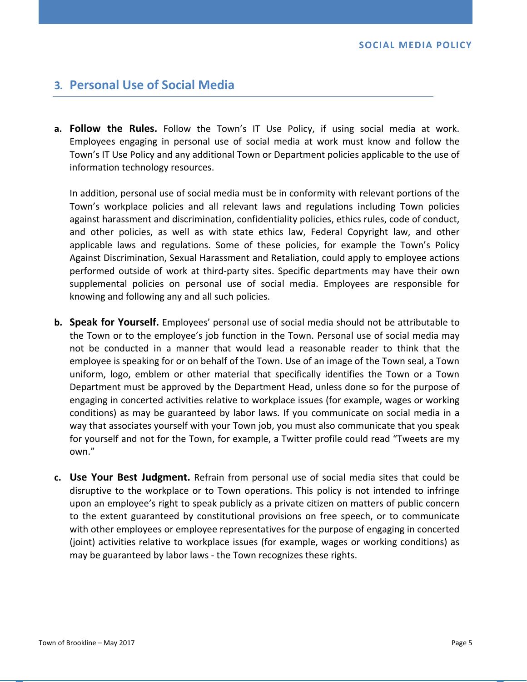## **3***.*  **Personal Use of Social Media**

**a. Follow the Rules.** Follow the Town's IT Use Policy, if using social media at work. Employees engaging in personal use of social media at work must know and follow the Town's IT Use Policy and any additional Town or Department policies applicable to the use of information technology resources.

In addition, personal use of social media must be in conformity with relevant portions of the Town's workplace policies and all relevant laws and regulations including Town policies against harassment and discrimination, confidentiality policies, ethics rules, code of conduct, and other policies, as well as with state ethics law, Federal Copyright law, and other applicable laws and regulations. Some of these policies, for example the Town's Policy Against Discrimination, Sexual Harassment and Retaliation, could apply to employee actions performed outside of work at third‐party sites. Specific departments may have their own supplemental policies on personal use of social media. Employees are responsible for knowing and following any and all such policies.

- **b. Speak for Yourself.** Employees' personal use of social media should not be attributable to the Town or to the employee's job function in the Town. Personal use of social media may not be conducted in a manner that would lead a reasonable reader to think that the employee is speaking for or on behalf of the Town. Use of an image of the Town seal, a Town uniform, logo, emblem or other material that specifically identifies the Town or a Town Department must be approved by the Department Head, unless done so for the purpose of engaging in concerted activities relative to workplace issues (for example, wages or working conditions) as may be guaranteed by labor laws. If you communicate on social media in a way that associates yourself with your Town job, you must also communicate that you speak for yourself and not for the Town, for example, a Twitter profile could read "Tweets are my own."
- **c. Use Your Best Judgment.** Refrain from personal use of social media sites that could be disruptive to the workplace or to Town operations. This policy is not intended to infringe upon an employee's right to speak publicly as a private citizen on matters of public concern to the extent guaranteed by constitutional provisions on free speech, or to communicate with other employees or employee representatives for the purpose of engaging in concerted (joint) activities relative to workplace issues (for example, wages or working conditions) as may be guaranteed by labor laws ‐ the Town recognizes these rights.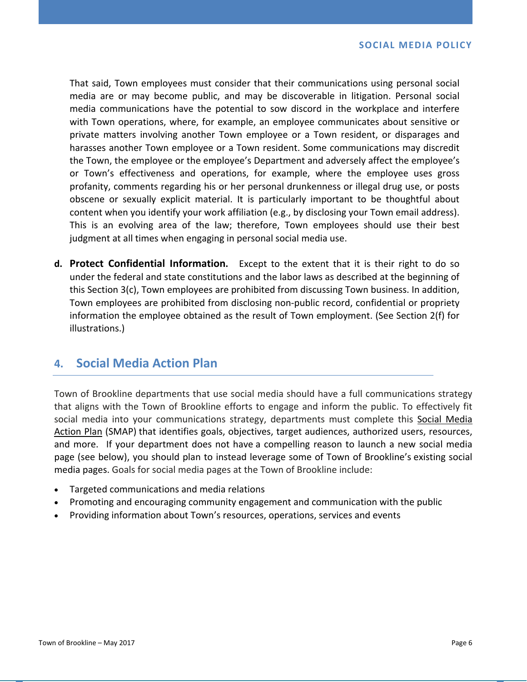That said, Town employees must consider that their communications using personal social media are or may become public, and may be discoverable in litigation. Personal social media communications have the potential to sow discord in the workplace and interfere with Town operations, where, for example, an employee communicates about sensitive or private matters involving another Town employee or a Town resident, or disparages and harasses another Town employee or a Town resident. Some communications may discredit the Town, the employee or the employee's Department and adversely affect the employee's or Town's effectiveness and operations, for example, where the employee uses gross profanity, comments regarding his or her personal drunkenness or illegal drug use, or posts obscene or sexually explicit material. It is particularly important to be thoughtful about content when you identify your work affiliation (e.g., by disclosing your Town email address). This is an evolving area of the law; therefore, Town employees should use their best judgment at all times when engaging in personal social media use.

**d. Protect Confidential Information.** Except to the extent that it is their right to do so under the federal and state constitutions and the labor laws as described at the beginning of this Section 3(c), Town employees are prohibited from discussing Town business. In addition, Town employees are prohibited from disclosing non‐public record, confidential or propriety information the employee obtained as the result of Town employment. (See Section 2(f) for illustrations.)

## **4. Social Media Action Plan**

Town of Brookline departments that use social media should have a full communications strategy that aligns with the Town of Brookline efforts to engage and inform the public. To effectively fit social media into your communications strategy, departments must complete this Social Media Action Plan (SMAP) that identifies goals, objectives, target audiences, authorized users, resources, and more. If your department does not have a compelling reason to launch a new social media page (see below), you should plan to instead leverage some of Town of Brookline's existing social media pages. Goals for social media pages at the Town of Brookline include:

- Targeted communications and media relations
- Promoting and encouraging community engagement and communication with the public
- Providing information about Town's resources, operations, services and events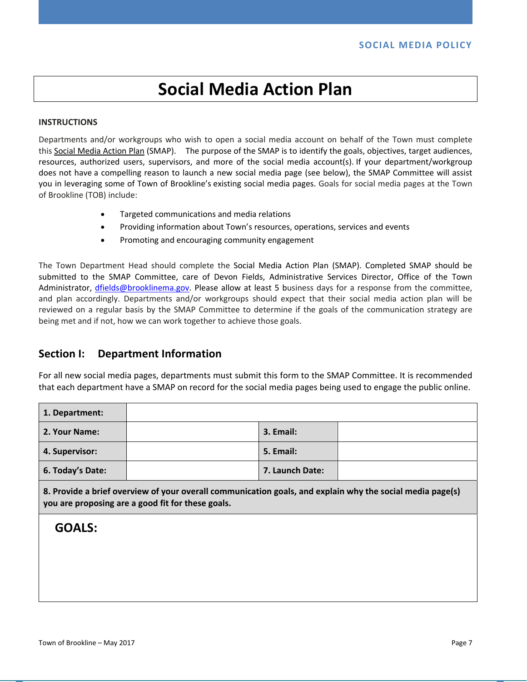# **Social Media Action Plan**

#### **INSTRUCTIONS**

Departments and/or workgroups who wish to open a social media account on behalf of the Town must complete this Social Media Action Plan (SMAP). The purpose of the SMAP is to identify the goals, objectives, target audiences, resources, authorized users, supervisors, and more of the social media account(s). If your department/workgroup does not have a compelling reason to launch a new social media page (see below), the SMAP Committee will assist you in leveraging some of Town of Brookline's existing social media pages. Goals for social media pages at the Town of Brookline (TOB) include:

- Targeted communications and media relations
- Providing information about Town's resources, operations, services and events
- Promoting and encouraging community engagement

The Town Department Head should complete the Social Media Action Plan (SMAP). Completed SMAP should be submitted to the SMAP Committee, care of Devon Fields, Administrative Services Director, Office of the Town Administrator, dfields@brooklinema.gov. Please allow at least 5 business days for a response from the committee, and plan accordingly. Departments and/or workgroups should expect that their social media action plan will be reviewed on a regular basis by the SMAP Committee to determine if the goals of the communication strategy are being met and if not, how we can work together to achieve those goals.

### **Section I: Department Information**

For all new social media pages, departments must submit this form to the SMAP Committee. It is recommended that each department have a SMAP on record for the social media pages being used to engage the public online.

| 1. Department:   |                 |  |
|------------------|-----------------|--|
| 2. Your Name:    | 3. Email:       |  |
| 4. Supervisor:   | 5. Email:       |  |
| 6. Today's Date: | 7. Launch Date: |  |

**8. Provide a brief overview of your overall communication goals, and explain why the social media page(s) you are proposing are a good fit for these goals.** 

## **GOALS:**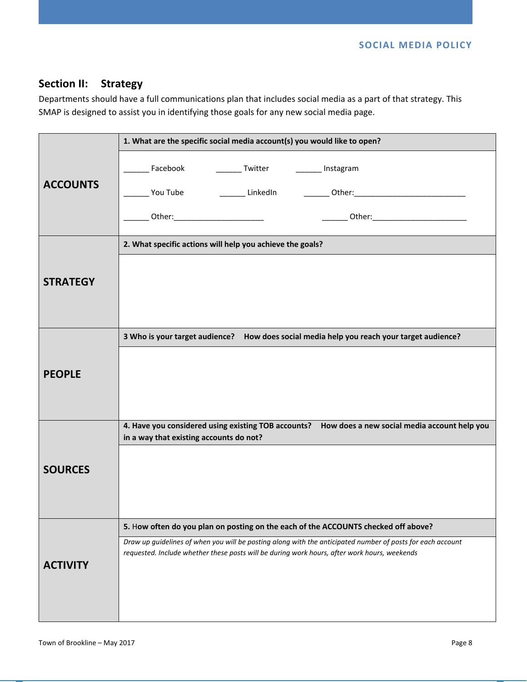**SOCIAL MEDIA POLICY** 

## **Section II: Strategy**

Departments should have a full communications plan that includes social media as a part of that strategy. This SMAP is designed to assist you in identifying those goals for any new social media page.

|                 | 1. What are the specific social media account(s) you would like to open?                                                                                                                                   |  |  |  |
|-----------------|------------------------------------------------------------------------------------------------------------------------------------------------------------------------------------------------------------|--|--|--|
| <b>ACCOUNTS</b> | Facebook<br>Twitter<br>_______ Instagram                                                                                                                                                                   |  |  |  |
|                 |                                                                                                                                                                                                            |  |  |  |
|                 | ________ Other:___________________________                                                                                                                                                                 |  |  |  |
|                 | 2. What specific actions will help you achieve the goals?                                                                                                                                                  |  |  |  |
| <b>STRATEGY</b> |                                                                                                                                                                                                            |  |  |  |
| <b>PEOPLE</b>   | 3 Who is your target audience? How does social media help you reach your target audience?                                                                                                                  |  |  |  |
|                 |                                                                                                                                                                                                            |  |  |  |
|                 |                                                                                                                                                                                                            |  |  |  |
|                 |                                                                                                                                                                                                            |  |  |  |
| <b>SOURCES</b>  | 4. Have you considered using existing TOB accounts? How does a new social media account help you<br>in a way that existing accounts do not?                                                                |  |  |  |
|                 |                                                                                                                                                                                                            |  |  |  |
| <b>ACTIVITY</b> | 5. How often do you plan on posting on the each of the ACCOUNTS checked off above?                                                                                                                         |  |  |  |
|                 | Draw up guidelines of when you will be posting along with the anticipated number of posts for each account<br>requested. Include whether these posts will be during work hours, after work hours, weekends |  |  |  |